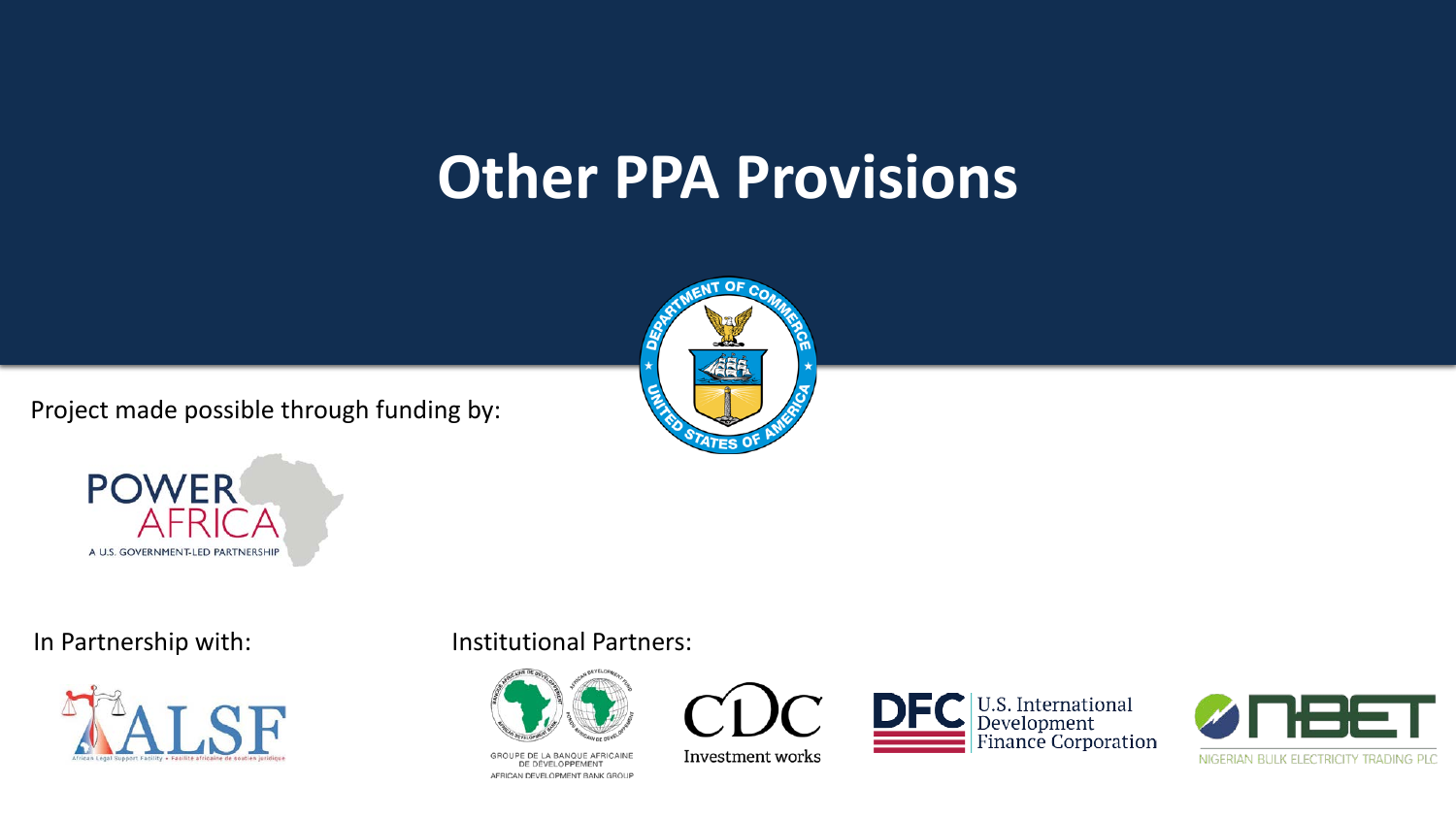#### **Other PPA Provisions**

Project made possible through funding by:







#### In Partnership with: Institutional Partners:



GROUPE DE LA BANQUE AFRICAINE DE DÉVELOPPEMENT AFRICAN DEVELOPMENT BANK GROUP



Investment works



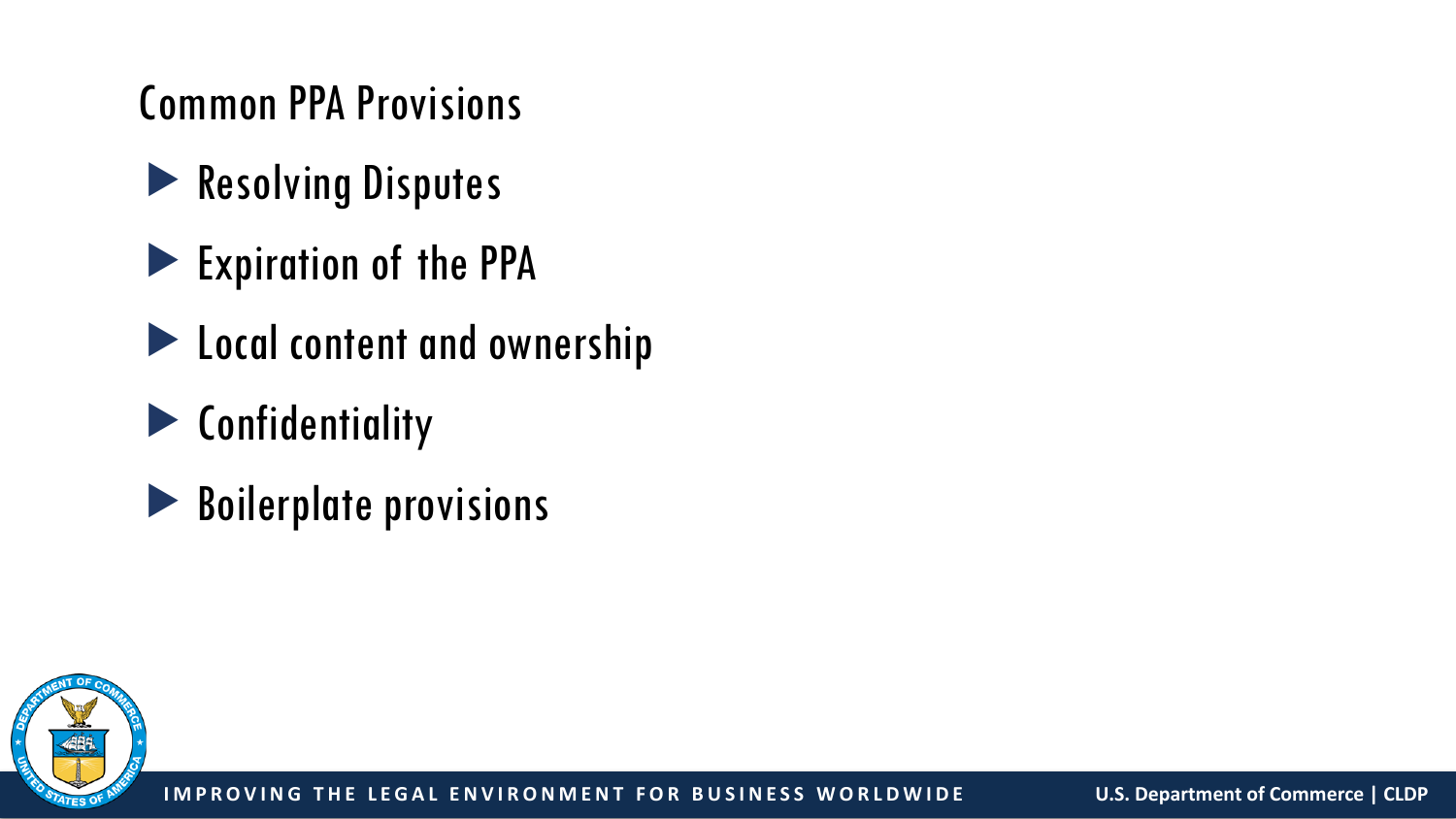#### Common PPA Provisions

- Resolving Disputes
- Expiration of the PPA
- **Local content and ownership**
- **Exercise Confidentiality**
- Boilerplate provisions

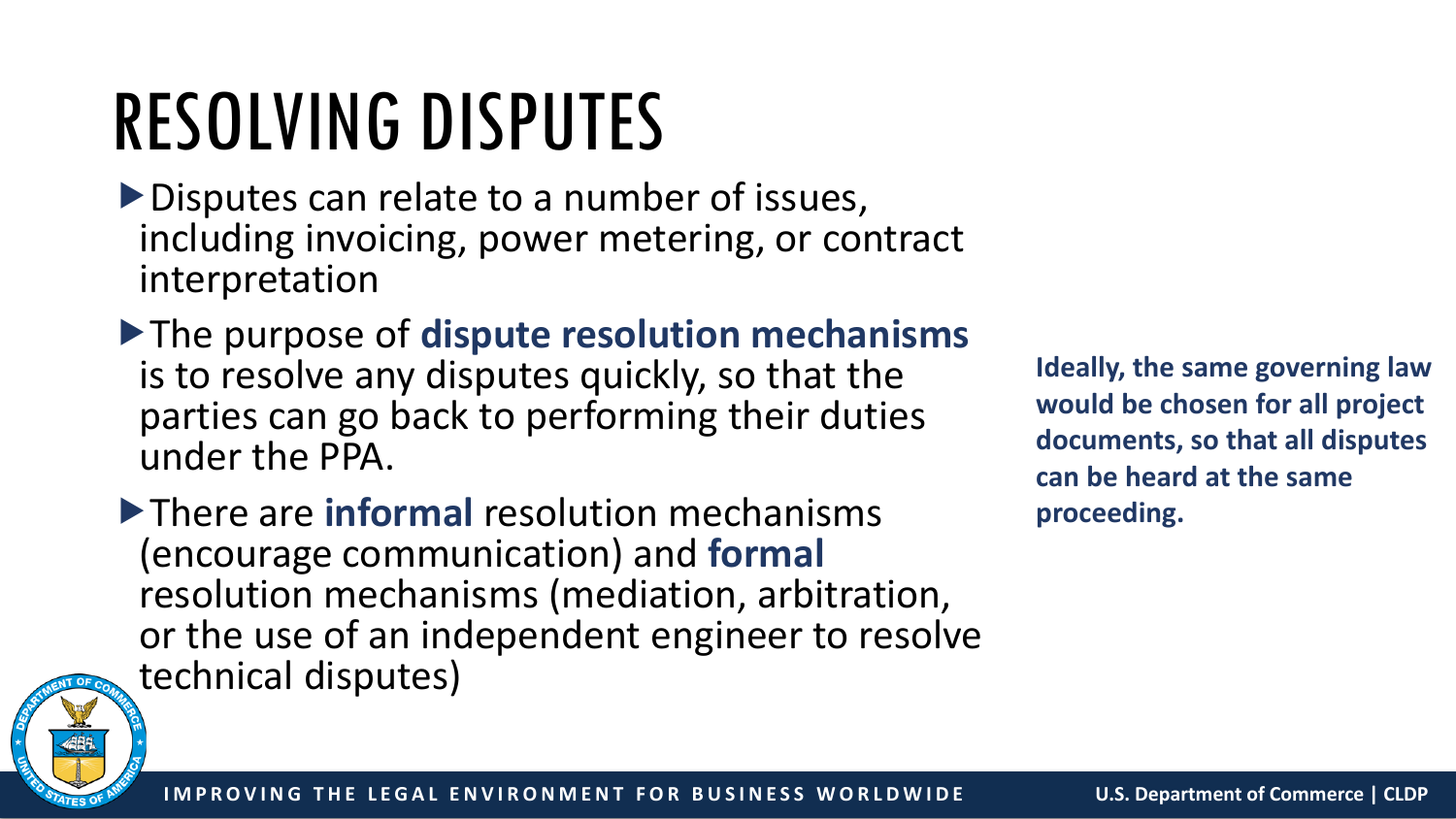# RESOLVING DISPUTES

- Disputes can relate to a number of issues, including invoicing, power metering, or contract interpretation
- The purpose of **dispute resolution mechanisms**  is to resolve any disputes quickly, so that the parties can go back to performing their duties under the PPA.

There are **informal** resolution mechanisms (encourage communication) and **formal**  resolution mechanisms (mediation, arbitration, or the use of an independent engineer to resolve technical disputes)

**Ideally, the same governing law would be chosen for all project documents, so that all disputes can be heard at the same proceeding.** 

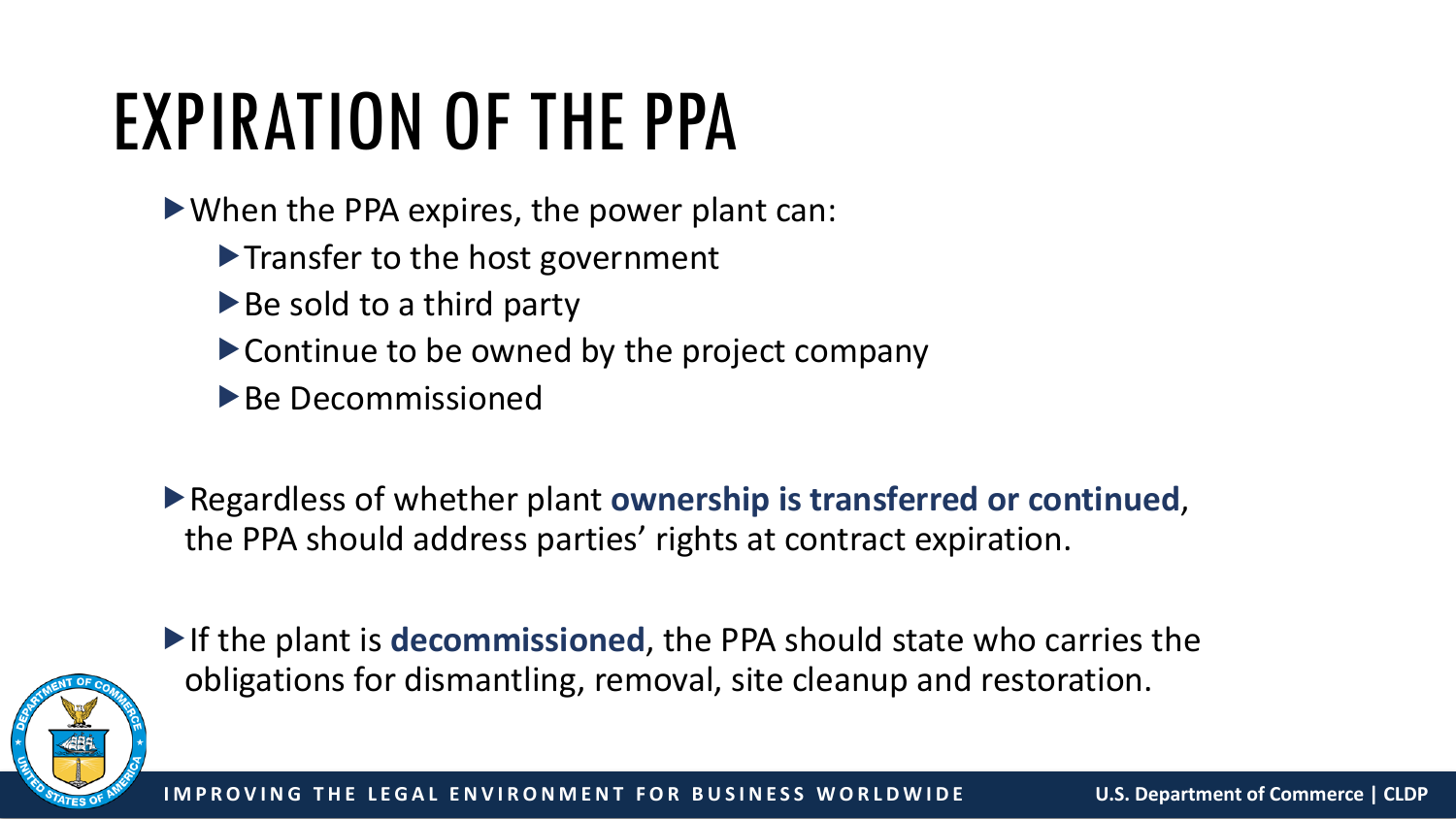# EXPIRATION OF THE PPA

- When the PPA expires, the power plant can:
	- $\blacktriangleright$  Transfer to the host government
	- $\blacktriangleright$  Be sold to a third party
	- Continue to be owned by the project company
	- $\triangleright$  Be Decommissioned
- Regardless of whether plant **ownership is transferred or continued**, the PPA should address parties' rights at contract expiration.



If the plant is **decommissioned**, the PPA should state who carries the obligations for dismantling, removal, site cleanup and restoration.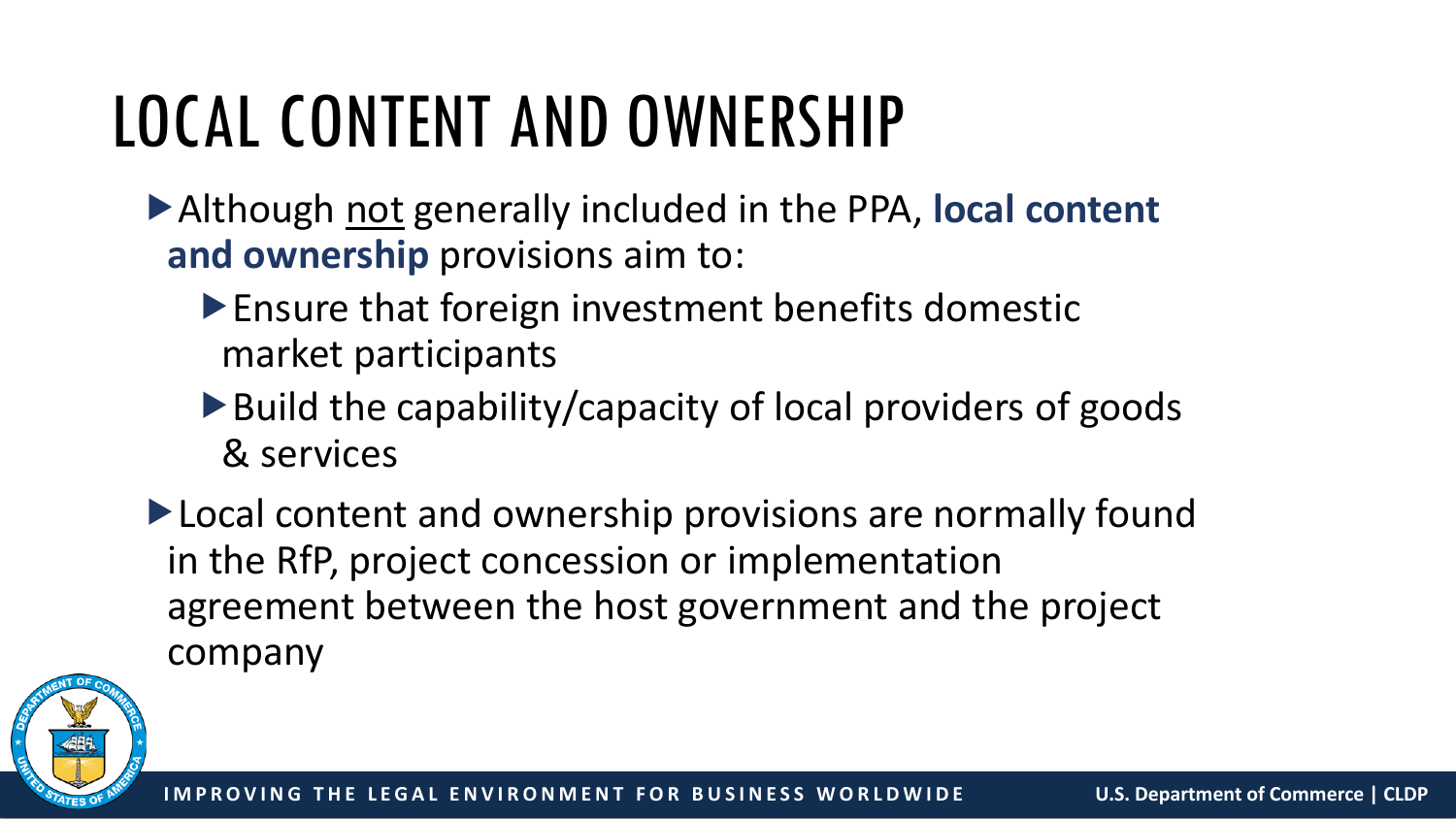#### LOCAL CONTENT AND OWNERSHIP

- Although not generally included in the PPA, **local content and ownership** provisions aim to:
	- Ensure that foreign investment benefits domestic market participants
	- $\blacktriangleright$  Build the capability/capacity of local providers of goods & services
- ▶ Local content and ownership provisions are normally found in the RfP, project concession or implementation agreement between the host government and the project company

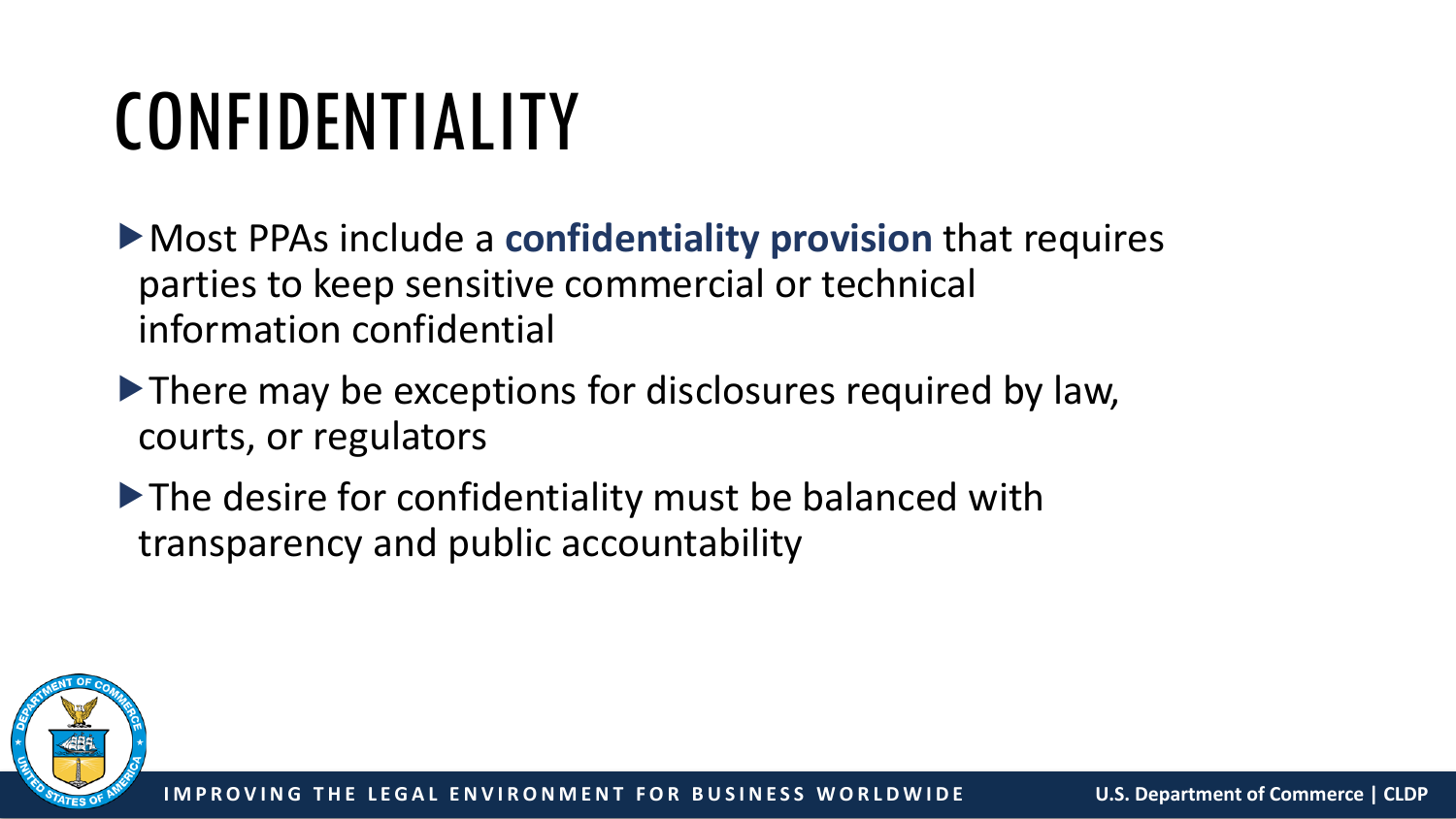### CONFIDENTIALITY

Most PPAs include a **confidentiality provision** that requires parties to keep sensitive commercial or technical information confidential

- There may be exceptions for disclosures required by law, courts, or regulators
- The desire for confidentiality must be balanced with transparency and public accountability

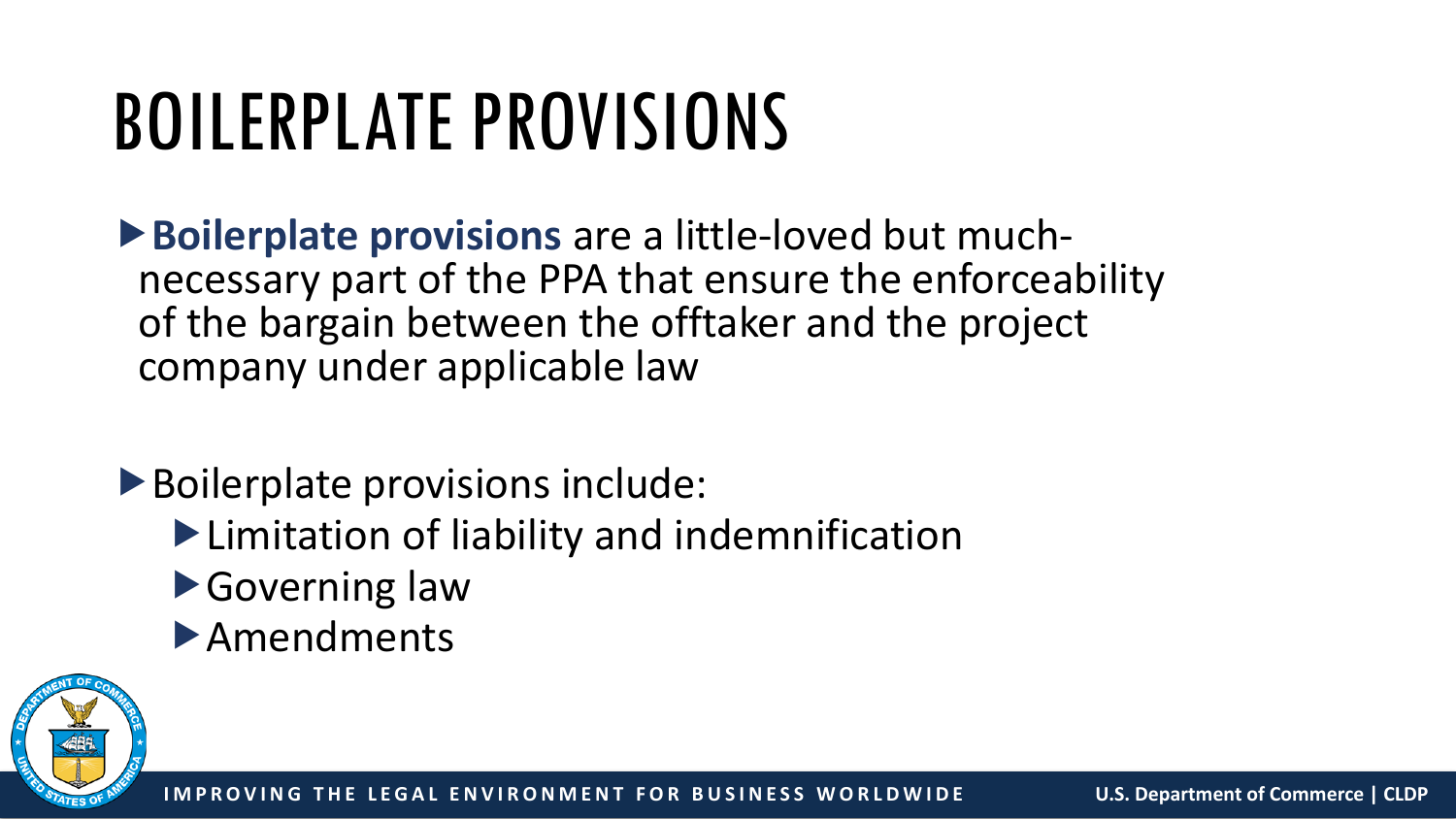# BOILERPLATE PROVISIONS

**Boilerplate provisions** are a little-loved but much- necessary part of the PPA that ensure the enforceability of the bargain between the offtaker and the project company under applicable law

Boilerplate provisions include:

- Limitation of liability and indemnification
- ▶Governing law
- Amendments